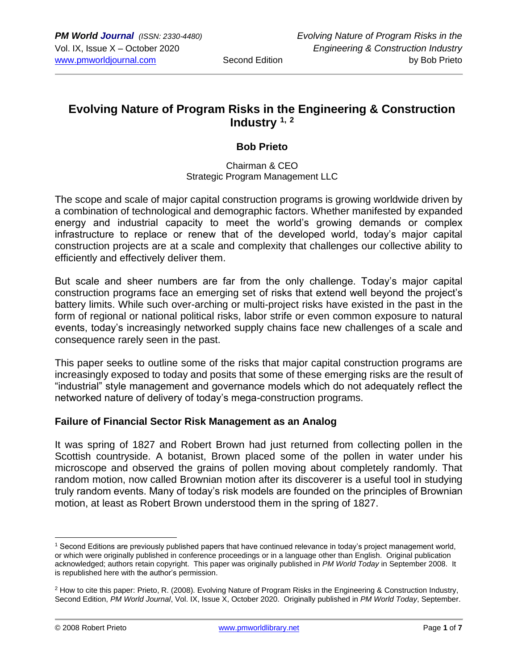# **Evolving Nature of Program Risks in the Engineering & Construction Industry 1, <sup>2</sup>**

## **Bob Prieto**

#### Chairman & CEO Strategic Program Management LLC

The scope and scale of major capital construction programs is growing worldwide driven by a combination of technological and demographic factors. Whether manifested by expanded energy and industrial capacity to meet the world's growing demands or complex infrastructure to replace or renew that of the developed world, today's major capital construction projects are at a scale and complexity that challenges our collective ability to efficiently and effectively deliver them.

But scale and sheer numbers are far from the only challenge. Today's major capital construction programs face an emerging set of risks that extend well beyond the project's battery limits. While such over-arching or multi-project risks have existed in the past in the form of regional or national political risks, labor strife or even common exposure to natural events, today's increasingly networked supply chains face new challenges of a scale and consequence rarely seen in the past.

This paper seeks to outline some of the risks that major capital construction programs are increasingly exposed to today and posits that some of these emerging risks are the result of "industrial" style management and governance models which do not adequately reflect the networked nature of delivery of today's mega-construction programs.

## **Failure of Financial Sector Risk Management as an Analog**

It was spring of 1827 and Robert Brown had just returned from collecting pollen in the Scottish countryside. A botanist, Brown placed some of the pollen in water under his microscope and observed the grains of pollen moving about completely randomly. That random motion, now called Brownian motion after its discoverer is a useful tool in studying truly random events. Many of today's risk models are founded on the principles of Brownian motion, at least as Robert Brown understood them in the spring of 1827.

<sup>1</sup> Second Editions are previously published papers that have continued relevance in today's project management world, or which were originally published in conference proceedings or in a language other than English. Original publication acknowledged; authors retain copyright. This paper was originally published in *PM World Today* in September 2008. It is republished here with the author's permission.

<sup>&</sup>lt;sup>2</sup> How to cite this paper: Prieto, R. (2008). Evolving Nature of Program Risks in the Engineering & Construction Industry, Second Edition, *PM World Journal*, Vol. IX, Issue X, October 2020. Originally published in *PM World Today*, September.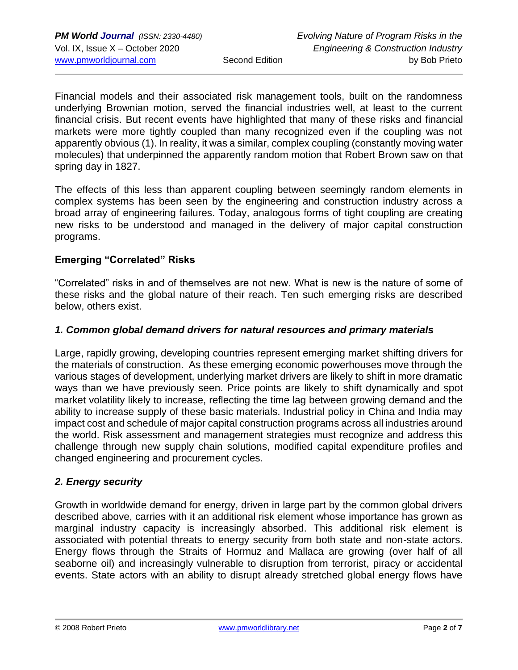Financial models and their associated risk management tools, built on the randomness underlying Brownian motion, served the financial industries well, at least to the current financial crisis. But recent events have highlighted that many of these risks and financial markets were more tightly coupled than many recognized even if the coupling was not apparently obvious (1). In reality, it was a similar, complex coupling (constantly moving water molecules) that underpinned the apparently random motion that Robert Brown saw on that spring day in 1827.

The effects of this less than apparent coupling between seemingly random elements in complex systems has been seen by the engineering and construction industry across a broad array of engineering failures. Today, analogous forms of tight coupling are creating new risks to be understood and managed in the delivery of major capital construction programs.

#### **Emerging "Correlated" Risks**

"Correlated" risks in and of themselves are not new. What is new is the nature of some of these risks and the global nature of their reach. Ten such emerging risks are described below, others exist.

#### *1. Common global demand drivers for natural resources and primary materials*

Large, rapidly growing, developing countries represent emerging market shifting drivers for the materials of construction. As these emerging economic powerhouses move through the various stages of development, underlying market drivers are likely to shift in more dramatic ways than we have previously seen. Price points are likely to shift dynamically and spot market volatility likely to increase, reflecting the time lag between growing demand and the ability to increase supply of these basic materials. Industrial policy in China and India may impact cost and schedule of major capital construction programs across all industries around the world. Risk assessment and management strategies must recognize and address this challenge through new supply chain solutions, modified capital expenditure profiles and changed engineering and procurement cycles.

## *2. Energy security*

Growth in worldwide demand for energy, driven in large part by the common global drivers described above, carries with it an additional risk element whose importance has grown as marginal industry capacity is increasingly absorbed. This additional risk element is associated with potential threats to energy security from both state and non-state actors. Energy flows through the Straits of Hormuz and Mallaca are growing (over half of all seaborne oil) and increasingly vulnerable to disruption from terrorist, piracy or accidental events. State actors with an ability to disrupt already stretched global energy flows have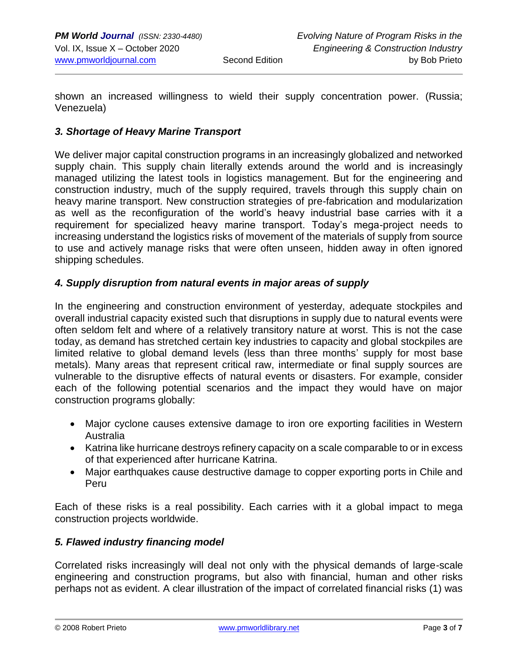shown an increased willingness to wield their supply concentration power. (Russia; Venezuela)

## *3. Shortage of Heavy Marine Transport*

We deliver major capital construction programs in an increasingly globalized and networked supply chain. This supply chain literally extends around the world and is increasingly managed utilizing the latest tools in logistics management. But for the engineering and construction industry, much of the supply required, travels through this supply chain on heavy marine transport. New construction strategies of pre-fabrication and modularization as well as the reconfiguration of the world's heavy industrial base carries with it a requirement for specialized heavy marine transport. Today's mega-project needs to increasing understand the logistics risks of movement of the materials of supply from source to use and actively manage risks that were often unseen, hidden away in often ignored shipping schedules.

#### *4. Supply disruption from natural events in major areas of supply*

In the engineering and construction environment of yesterday, adequate stockpiles and overall industrial capacity existed such that disruptions in supply due to natural events were often seldom felt and where of a relatively transitory nature at worst. This is not the case today, as demand has stretched certain key industries to capacity and global stockpiles are limited relative to global demand levels (less than three months' supply for most base metals). Many areas that represent critical raw, intermediate or final supply sources are vulnerable to the disruptive effects of natural events or disasters. For example, consider each of the following potential scenarios and the impact they would have on major construction programs globally:

- Major cyclone causes extensive damage to iron ore exporting facilities in Western Australia
- Katrina like hurricane destroys refinery capacity on a scale comparable to or in excess of that experienced after hurricane Katrina.
- Major earthquakes cause destructive damage to copper exporting ports in Chile and Peru

Each of these risks is a real possibility. Each carries with it a global impact to mega construction projects worldwide.

## *5. Flawed industry financing model*

Correlated risks increasingly will deal not only with the physical demands of large-scale engineering and construction programs, but also with financial, human and other risks perhaps not as evident. A clear illustration of the impact of correlated financial risks (1) was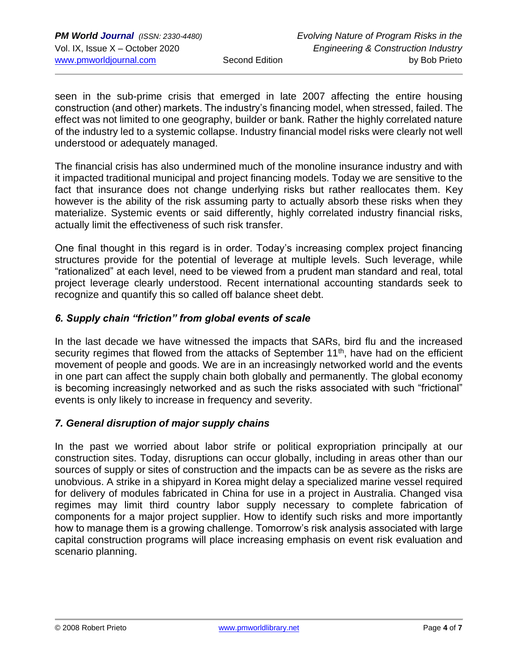seen in the sub-prime crisis that emerged in late 2007 affecting the entire housing construction (and other) markets. The industry's financing model, when stressed, failed. The effect was not limited to one geography, builder or bank. Rather the highly correlated nature of the industry led to a systemic collapse. Industry financial model risks were clearly not well understood or adequately managed.

The financial crisis has also undermined much of the monoline insurance industry and with it impacted traditional municipal and project financing models. Today we are sensitive to the fact that insurance does not change underlying risks but rather reallocates them. Key however is the ability of the risk assuming party to actually absorb these risks when they materialize. Systemic events or said differently, highly correlated industry financial risks, actually limit the effectiveness of such risk transfer.

One final thought in this regard is in order. Today's increasing complex project financing structures provide for the potential of leverage at multiple levels. Such leverage, while "rationalized" at each level, need to be viewed from a prudent man standard and real, total project leverage clearly understood. Recent international accounting standards seek to recognize and quantify this so called off balance sheet debt.

# *6. Supply chain "friction" from global events of scale*

In the last decade we have witnessed the impacts that SARs, bird flu and the increased security regimes that flowed from the attacks of September  $11<sup>th</sup>$ , have had on the efficient movement of people and goods. We are in an increasingly networked world and the events in one part can affect the supply chain both globally and permanently. The global economy is becoming increasingly networked and as such the risks associated with such "frictional" events is only likely to increase in frequency and severity.

## *7. General disruption of major supply chains*

In the past we worried about labor strife or political expropriation principally at our construction sites. Today, disruptions can occur globally, including in areas other than our sources of supply or sites of construction and the impacts can be as severe as the risks are unobvious. A strike in a shipyard in Korea might delay a specialized marine vessel required for delivery of modules fabricated in China for use in a project in Australia. Changed visa regimes may limit third country labor supply necessary to complete fabrication of components for a major project supplier. How to identify such risks and more importantly how to manage them is a growing challenge. Tomorrow's risk analysis associated with large capital construction programs will place increasing emphasis on event risk evaluation and scenario planning.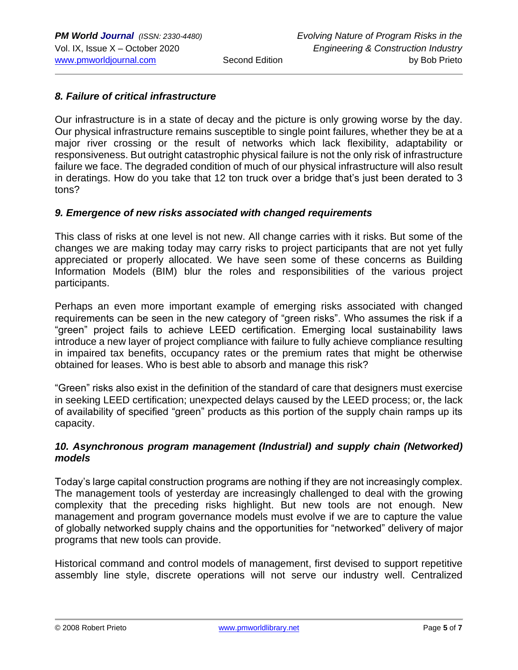### *8. Failure of critical infrastructure*

Our infrastructure is in a state of decay and the picture is only growing worse by the day. Our physical infrastructure remains susceptible to single point failures, whether they be at a major river crossing or the result of networks which lack flexibility, adaptability or responsiveness. But outright catastrophic physical failure is not the only risk of infrastructure failure we face. The degraded condition of much of our physical infrastructure will also result in deratings. How do you take that 12 ton truck over a bridge that's just been derated to 3 tons?

#### *9. Emergence of new risks associated with changed requirements*

This class of risks at one level is not new. All change carries with it risks. But some of the changes we are making today may carry risks to project participants that are not yet fully appreciated or properly allocated. We have seen some of these concerns as Building Information Models (BIM) blur the roles and responsibilities of the various project participants.

Perhaps an even more important example of emerging risks associated with changed requirements can be seen in the new category of "green risks". Who assumes the risk if a "green" project fails to achieve LEED certification. Emerging local sustainability laws introduce a new layer of project compliance with failure to fully achieve compliance resulting in impaired tax benefits, occupancy rates or the premium rates that might be otherwise obtained for leases. Who is best able to absorb and manage this risk?

"Green" risks also exist in the definition of the standard of care that designers must exercise in seeking LEED certification; unexpected delays caused by the LEED process; or, the lack of availability of specified "green" products as this portion of the supply chain ramps up its capacity.

#### *10. Asynchronous program management (Industrial) and supply chain (Networked) models*

Today's large capital construction programs are nothing if they are not increasingly complex. The management tools of yesterday are increasingly challenged to deal with the growing complexity that the preceding risks highlight. But new tools are not enough. New management and program governance models must evolve if we are to capture the value of globally networked supply chains and the opportunities for "networked" delivery of major programs that new tools can provide.

Historical command and control models of management, first devised to support repetitive assembly line style, discrete operations will not serve our industry well. Centralized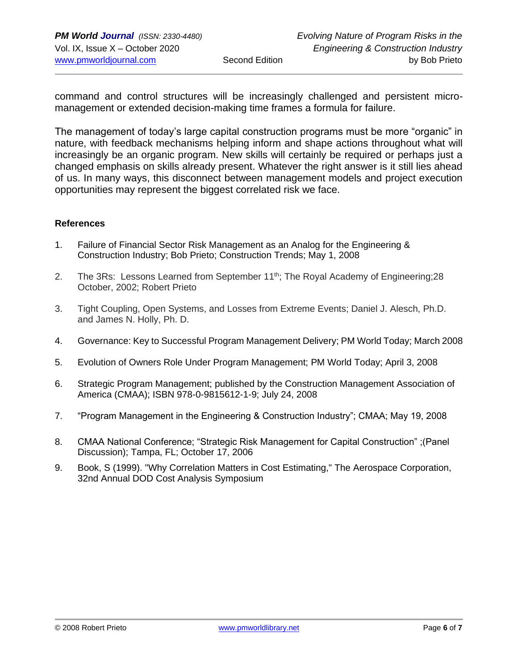command and control structures will be increasingly challenged and persistent micromanagement or extended decision-making time frames a formula for failure.

The management of today's large capital construction programs must be more "organic" in nature, with feedback mechanisms helping inform and shape actions throughout what will increasingly be an organic program. New skills will certainly be required or perhaps just a changed emphasis on skills already present. Whatever the right answer is it still lies ahead of us. In many ways, this disconnect between management models and project execution opportunities may represent the biggest correlated risk we face.

#### **References**

- 1. Failure of Financial Sector Risk Management as an Analog for the Engineering & Construction Industry; Bob Prieto; Construction Trends; May 1, 2008
- 2. The 3Rs: Lessons Learned from September 11<sup>th</sup>; The Royal Academy of Engineering; 28 October, 2002; Robert Prieto
- 3. Tight Coupling, Open Systems, and Losses from Extreme Events; Daniel J. Alesch, Ph.D. and James N. Holly, Ph. D.
- 4. Governance: Key to Successful Program Management Delivery; PM World Today; March 2008
- 5. Evolution of Owners Role Under Program Management; PM World Today; April 3, 2008
- 6. Strategic Program Management; published by the Construction Management Association of America (CMAA); ISBN 978-0-9815612-1-9; July 24, 2008
- 7. "Program Management in the Engineering & Construction Industry"; CMAA; May 19, 2008
- 8. CMAA National Conference; "Strategic Risk Management for Capital Construction" ;(Panel Discussion); Tampa, FL; October 17, 2006
- 9. Book, S (1999). "Why Correlation Matters in Cost Estimating," The Aerospace Corporation, 32nd Annual DOD Cost Analysis Symposium